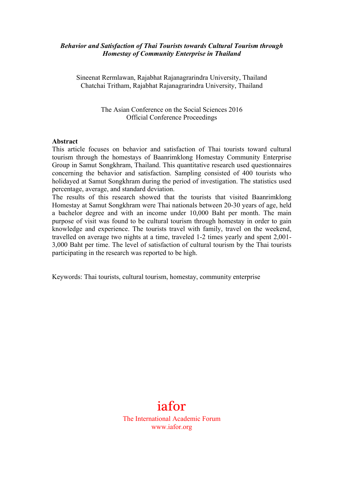#### *Behavior and Satisfaction of Thai Tourists towards Cultural Tourism through Homestay of Community Enterprise in Thailand*

Sineenat Rermlawan, Rajabhat Rajanagrarindra University, Thailand Chatchai Tritham, Rajabhat Rajanagrarindra University, Thailand

> The Asian Conference on the Social Sciences 2016 Official Conference Proceedings

#### **Abstract**

This article focuses on behavior and satisfaction of Thai tourists toward cultural tourism through the homestays of Baanrimklong Homestay Community Enterprise Group in Samut Songkhram, Thailand. This quantitative research used questionnaires concerning the behavior and satisfaction. Sampling consisted of 400 tourists who holidayed at Samut Songkhram during the period of investigation. The statistics used percentage, average, and standard deviation.

The results of this research showed that the tourists that visited Baanrimklong Homestay at Samut Songkhram were Thai nationals between 20-30 years of age, held a bachelor degree and with an income under 10,000 Baht per month. The main purpose of visit was found to be cultural tourism through homestay in order to gain knowledge and experience. The tourists travel with family, travel on the weekend, travelled on average two nights at a time, traveled 1-2 times yearly and spent 2,001- 3,000 Baht per time. The level of satisfaction of cultural tourism by the Thai tourists participating in the research was reported to be high.

Keywords: Thai tourists, cultural tourism, homestay, community enterprise



www.iafor.org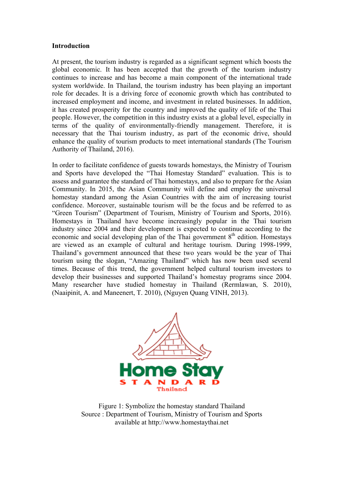#### **Introduction**

At present, the tourism industry is regarded as a significant segment which boosts the global economic. It has been accepted that the growth of the tourism industry continues to increase and has become a main component of the international trade system worldwide. In Thailand, the tourism industry has been playing an important role for decades. It is a driving force of economic growth which has contributed to increased employment and income, and investment in related businesses. In addition, it has created prosperity for the country and improved the quality of life of the Thai people. However, the competition in this industry exists at a global level, especially in terms of the quality of environmentally-friendly management. Therefore, it is necessary that the Thai tourism industry, as part of the economic drive, should enhance the quality of tourism products to meet international standards (The Tourism Authority of Thailand, 2016).

In order to facilitate confidence of guests towards homestays, the Ministry of Tourism and Sports have developed the "Thai Homestay Standard" evaluation. This is to assess and guarantee the standard of Thai homestays, and also to prepare for the Asian Community. In 2015, the Asian Community will define and employ the universal homestay standard among the Asian Countries with the aim of increasing tourist confidence. Moreover, sustainable tourism will be the focus and be referred to as "Green Tourism" (Department of Tourism, Ministry of Tourism and Sports, 2016). Homestays in Thailand have become increasingly popular in the Thai tourism industry since 2004 and their development is expected to continue according to the economic and social developing plan of the Thai government  $8<sup>th</sup>$  edition. Homestays are viewed as an example of cultural and heritage tourism. During 1998-1999, Thailand's government announced that these two years would be the year of Thai tourism using the slogan, "Amazing Thailand" which has now been used several times. Because of this trend, the government helped cultural tourism investors to develop their businesses and supported Thailand's homestay programs since 2004. Many researcher have studied homestay in Thailand (Rermlawan, S. 2010), (Naaipinit, A. and Maneenert, T. 2010), (Nguyen Quang VINH, 2013).



Figure 1: Symbolize the homestay standard Thailand Source : Department of Tourism, Ministry of Tourism and Sports available at http://www.homestaythai.net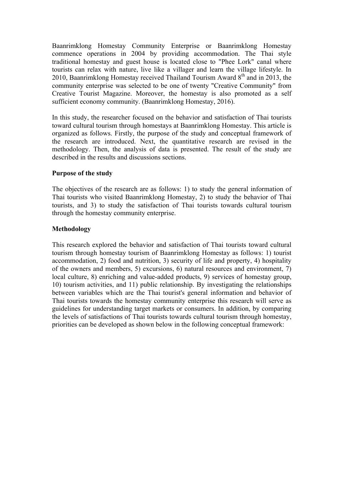Baanrimklong Homestay Community Enterprise or Baanrimklong Homestay commence operations in 2004 by providing accommodation. The Thai style traditional homestay and guest house is located close to "Phee Lork" canal where tourists can relax with nature, live like a villager and learn the village lifestyle. In 2010, Baanrimklong Homestay received Thailand Tourism Award  $8<sup>th</sup>$  and in 2013, the community enterprise was selected to be one of twenty "Creative Community" from Creative Tourist Magazine. Moreover, the homestay is also promoted as a self sufficient economy community. (Baanrimklong Homestay, 2016).

In this study, the researcher focused on the behavior and satisfaction of Thai tourists toward cultural tourism through homestays at Baanrimklong Homestay. This article is organized as follows. Firstly, the purpose of the study and conceptual framework of the research are introduced. Next, the quantitative research are revised in the methodology. Then, the analysis of data is presented. The result of the study are described in the results and discussions sections.

## **Purpose of the study**

The objectives of the research are as follows: 1) to study the general information of Thai tourists who visited Baanrimklong Homestay, 2) to study the behavior of Thai tourists, and 3) to study the satisfaction of Thai tourists towards cultural tourism through the homestay community enterprise.

#### **Methodology**

This research explored the behavior and satisfaction of Thai tourists toward cultural tourism through homestay tourism of Baanrimklong Homestay as follows: 1) tourist accommodation, 2) food and nutrition, 3) security of life and property, 4) hospitality of the owners and members, 5) excursions, 6) natural resources and environment, 7) local culture, 8) enriching and value-added products, 9) services of homestay group, 10) tourism activities, and 11) public relationship. By investigating the relationships between variables which are the Thai tourist's general information and behavior of Thai tourists towards the homestay community enterprise this research will serve as guidelines for understanding target markets or consumers. In addition, by comparing the levels of satisfactions of Thai tourists towards cultural tourism through homestay, priorities can be developed as shown below in the following conceptual framework: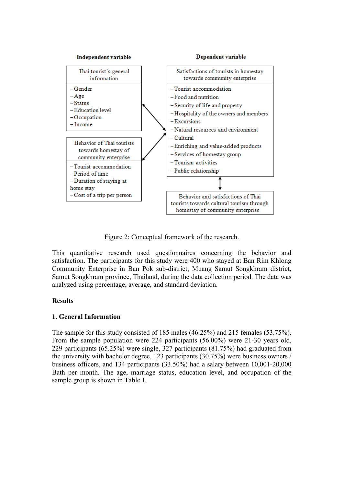

Figure 2: Conceptual framework of the research.

This quantitative research used questionnaires concerning the behavior and satisfaction. The participants for this study were 400 who stayed at Ban Rim Khlong Community Enterprise in Ban Pok sub-district, Muang Samut Songkhram district, Samut Songkhram province, Thailand, during the data collection period. The data was analyzed using percentage, average, and standard deviation.

# **Results**

# **1. General Information**

The sample for this study consisted of 185 males (46.25%) and 215 females (53.75%). From the sample population were 224 participants (56.00%) were 21-30 years old, 229 participants (65.25%) were single, 327 participants (81.75%) had graduated from the university with bachelor degree, 123 participants (30.75%) were business owners / business officers, and 134 participants (33.50%) had a salary between 10,001-20,000 Bath per month. The age, marriage status, education level, and occupation of the sample group is shown in Table 1.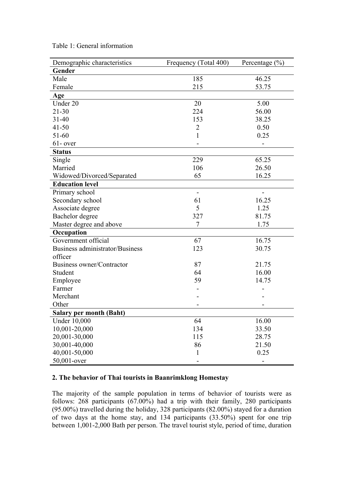| Demographic characteristics     | Frequency (Total 400) | Percentage $(\% )$ |
|---------------------------------|-----------------------|--------------------|
| Gender                          |                       |                    |
| Male                            | 185                   | 46.25              |
| Female                          | 215                   | 53.75              |
| Age                             |                       |                    |
| Under 20                        | 20                    | 5.00               |
| $21 - 30$                       | 224                   | 56.00              |
| $31 - 40$                       | 153                   | 38.25              |
| $41 - 50$                       | $\overline{2}$        | 0.50               |
| 51-60                           | $\mathbf{1}$          | 0.25               |
| $61$ - over                     |                       |                    |
| <b>Status</b>                   |                       |                    |
| Single                          | 229                   | 65.25              |
| Married                         | 106                   | 26.50              |
| Widowed/Divorced/Separated      | 65                    | 16.25              |
| <b>Education level</b>          |                       |                    |
| Primary school                  | $\blacksquare$        |                    |
| Secondary school                | 61                    | 16.25              |
| Associate degree                | 5                     | 1.25               |
| Bachelor degree                 | 327                   | 81.75              |
| Master degree and above         | 7                     | 1.75               |
| Occupation                      |                       |                    |
| Government official             | 67                    | 16.75              |
| Business administrator/Business | 123                   | 30.75              |
| officer                         |                       |                    |
| Business owner/Contractor       | 87                    | 21.75              |
| Student                         | 64                    | 16.00              |
| Employee                        | 59                    | 14.75              |
| Farmer                          |                       |                    |
| Merchant                        |                       |                    |
| Other                           |                       |                    |
| <b>Salary per month (Baht)</b>  |                       |                    |
| <b>Under 10,000</b>             | 64                    | 16.00              |
| 10,001-20,000                   | 134                   | 33.50              |
| 20,001-30,000                   | 115                   | 28.75              |
| 30,001-40,000                   | 86                    | 21.50              |
| 40,001-50,000                   | 1                     | 0.25               |
| 50,001-over                     |                       |                    |

Table 1: General information

## **2. The behavior of Thai tourists in Baanrimklong Homestay**

The majority of the sample population in terms of behavior of tourists were as follows: 268 participants (67.00%) had a trip with their family, 280 participants (95.00%) travelled during the holiday, 328 participants (82.00%) stayed for a duration of two days at the home stay, and 134 participants (33.50%) spent for one trip between 1,001-2,000 Bath per person. The travel tourist style, period of time, duration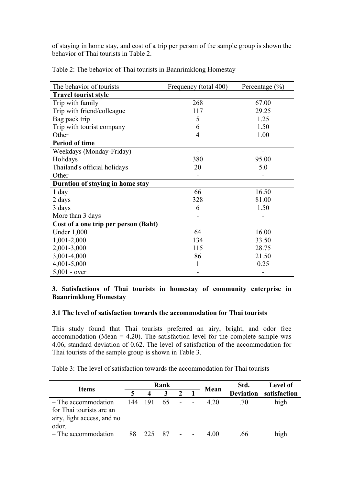of staying in home stay, and cost of a trip per person of the sample group is shown the behavior of Thai tourists in Table 2.

| The behavior of tourists             | Frequency (total 400) | Percentage $(\% )$ |
|--------------------------------------|-----------------------|--------------------|
| <b>Travel tourist style</b>          |                       |                    |
| Trip with family                     | 268                   | 67.00              |
| Trip with friend/colleague           | 117                   | 29.25              |
| Bag pack trip                        | 5                     | 1.25               |
| Trip with tourist company            | 6                     | 1.50               |
| Other                                | 4                     | 1.00               |
| Period of time                       |                       |                    |
| Weekdays (Monday-Friday)             |                       |                    |
| Holidays                             | 380                   | 95.00              |
| Thailand's official holidays         | 20                    | 5.0                |
| Other                                |                       |                    |
| Duration of staying in home stay     |                       |                    |
| $1$ day                              | 66                    | 16.50              |
| 2 days                               | 328                   | 81.00              |
| 3 days                               | 6                     | 1.50               |
| More than 3 days                     |                       |                    |
| Cost of a one trip per person (Baht) |                       |                    |
| <b>Under 1,000</b>                   | 64                    | 16.00              |
| 1,001-2,000                          | 134                   | 33.50              |
| 2,001-3,000                          | 115                   | 28.75              |
| 3,001-4,000                          | 86                    | 21.50              |
| 4,001-5,000                          | 1                     | 0.25               |
| $5,001 - over$                       |                       |                    |

Table 2: The behavior of Thai tourists in Baanrimklong Homestay

## **3. Satisfactions of Thai tourists in homestay of community enterprise in Baanrimklong Homestay**

## **3.1 The level of satisfaction towards the accommodation for Thai tourists**

This study found that Thai tourists preferred an airy, bright, and odor free accommodation (Mean  $= 4.20$ ). The satisfaction level for the complete sample was 4.06, standard deviation of 0.62. The level of satisfaction of the accommodation for Thai tourists of the sample group is shown in Table 3.

Table 3: The level of satisfaction towards the accommodation for Thai tourists

| <b>Items</b>                                                                           |     |                  | Rank |        |                  | Mean         | Std. | <b>Level of</b> |
|----------------------------------------------------------------------------------------|-----|------------------|------|--------|------------------|--------------|------|-----------------|
|                                                                                        |     | $\boldsymbol{4}$ | 3    |        | <b>Deviation</b> | satisfaction |      |                 |
| - The accommodation<br>for Thai tourists are an<br>airy, light access, and no<br>odor. | 144 | 191              | 65   | $\sim$ |                  | 4.20         | .70  | high            |
| - The accommodation                                                                    | 88  | 225              |      |        |                  | 4 ()()       | .66  | high            |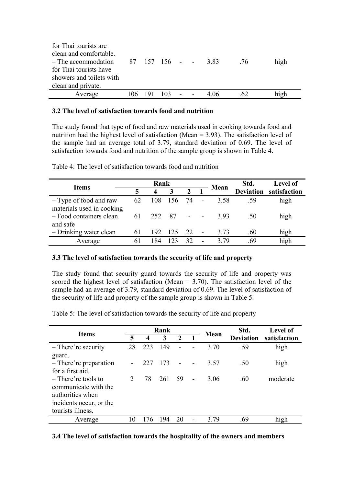| for Thai tourists are              |     |       |      |  |      |     |      |
|------------------------------------|-----|-------|------|--|------|-----|------|
| clean and comfortable.             |     |       |      |  |      |     |      |
| $-$ The accommodation 87 157 156 - |     |       |      |  | 383  | .76 | high |
| for Thai tourists have             |     |       |      |  |      |     |      |
| showers and toilets with           |     |       |      |  |      |     |      |
| clean and private.                 |     |       |      |  |      |     |      |
| Average                            | 106 | - 191 | 103. |  | 4.06 | 62  | high |

### **3.2 The level of satisfaction towards food and nutrition**

The study found that type of food and raw materials used in cooking towards food and nutrition had the highest level of satisfaction (Mean = 3.93). The satisfaction level of the sample had an average total of 3.79, standard deviation of 0.69. The level of satisfaction towards food and nutrition of the sample group is shown in Table 4.

| <b>Items</b>                                        |    | Rank             |      |     | Mean | Std. | <b>Level of</b>        |
|-----------------------------------------------------|----|------------------|------|-----|------|------|------------------------|
|                                                     | 5  | $\boldsymbol{4}$ | 3    |     |      |      | Deviation satisfaction |
| - Type of food and raw<br>materials used in cooking | 62 | 108              | 156  | -74 | 3.58 | -59  | high                   |
| - Food containers clean<br>and safe                 | 61 | 252              | - 87 |     | 393  | .50  | high                   |
| - Drinking water clean                              | 61 | 192              | 125  | 22  | 3.73 | .60  | high                   |
| Average                                             | 61 | 184              |      | 32  | 3.79 | 69   | high                   |

Table 4: The level of satisfaction towards food and nutrition

#### **3.3 The level of satisfaction towards the security of life and property**

The study found that security guard towards the security of life and property was scored the highest level of satisfaction (Mean  $= 3.70$ ). The satisfaction level of the sample had an average of 3.79, standard deviation of 0.69. The level of satisfaction of the security of life and property of the sample group is shown in Table 5.

Table 5: The level of satisfaction towards the security of life and property

| <b>Items</b>            |               |      | Rank |             | Mean | Std.             | <b>Level of</b> |
|-------------------------|---------------|------|------|-------------|------|------------------|-----------------|
|                         | 5             | 4    | 3    | $\mathbf 2$ |      | <b>Deviation</b> | satisfaction    |
| – There're security     | 28            | 223  | 149  |             | 3.70 | .59              | high            |
| guard.                  |               |      |      |             |      |                  |                 |
| - There're preparation  |               | 22.7 | 173  |             | 3.57 | .50              | high            |
| for a first aid.        |               |      |      |             |      |                  |                 |
| $-$ There're tools to   | $\mathcal{D}$ | 78   | 261  | 59          | 3.06 | .60              | moderate        |
| communicate with the    |               |      |      |             |      |                  |                 |
| authorities when        |               |      |      |             |      |                  |                 |
| incidents occur, or the |               |      |      |             |      |                  |                 |
| tourists illness.       |               |      |      |             |      |                  |                 |
| Average                 | 10            | 76   | 194  | 20          | 3.79 | .69              | high            |

#### **3.4 The level of satisfaction towards the hospitality of the owners and members**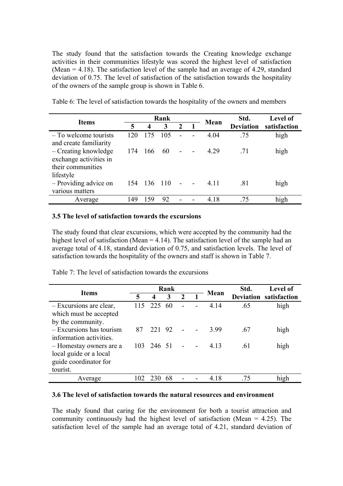The study found that the satisfaction towards the Creating knowledge exchange activities in their communities lifestyle was scored the highest level of satisfaction (Mean = 4.18). The satisfaction level of the sample had an average of 4.29, standard deviation of 0.75. The level of satisfaction of the satisfaction towards the hospitality of the owners of the sample group is shown in Table 6.

|                                                                                  |                             |         | Rank             |                          |       | Std. | <b>Level of</b> |
|----------------------------------------------------------------------------------|-----------------------------|---------|------------------|--------------------------|-------|------|-----------------|
| <b>Items</b>                                                                     | 5<br>3<br>$\mathbf{2}$<br>4 | Mean    | <b>Deviation</b> | satisfaction             |       |      |                 |
| - To welcome tourists<br>and create familiarity                                  | 120                         | 175     | 105              |                          | 4.04  | .75  | high            |
| - Creating knowledge<br>exchange activities in<br>their communities<br>lifestyle | 174                         | 166     | 60               | $\overline{\phantom{0}}$ | 4.29  | .71  | high            |
| - Providing advice on<br>various matters                                         | 154                         | 136 110 |                  |                          | 4 1 1 | .81  | high            |
| Average                                                                          | 149                         | 59      | 92               |                          | 4.18  | .75  | high            |

Table 6: The level of satisfaction towards the hospitality of the owners and members

#### **3.5 The level of satisfaction towards the excursions**

The study found that clear excursions, which were accepted by the community had the highest level of satisfaction (Mean = 4.14). The satisfaction level of the sample had an average total of 4.18, standard deviation of 0.75, and satisfaction levels. The level of satisfaction towards the hospitality of the owners and staff is shown in Table 7.

|                            |    |                  | Rank |               | Mean  | Std. | Level of                      |
|----------------------------|----|------------------|------|---------------|-------|------|-------------------------------|
| <b>Items</b>               | 5  | $\boldsymbol{4}$ | 3    | $\mathcal{L}$ |       |      | <b>Deviation</b> satisfaction |
| - Excursions are clear,    |    | 115 225          | 60   |               | 4.14  | .65  | high                          |
| which must be accepted     |    |                  |      |               |       |      |                               |
| by the community.          |    |                  |      |               |       |      |                               |
| $-$ Excursions has tourism | 87 | 221 92           |      |               | 399   | .67  | high                          |
| information activities.    |    |                  |      |               |       |      |                               |
| - Homestay owners are a    |    | 103 246 51       |      |               | 4 1 3 | .61  | high                          |
| local guide or a local     |    |                  |      |               |       |      |                               |
| guide coordinator for      |    |                  |      |               |       |      |                               |
| tourist.                   |    |                  |      |               |       |      |                               |
| Average                    |    |                  | 68   |               | 4.18  | .75  | high                          |

Table 7: The level of satisfaction towards the excursions

#### **3.6 The level of satisfaction towards the natural resources and environment**

The study found that caring for the environment for both a tourist attraction and community continuously had the highest level of satisfaction (Mean = 4.25). The satisfaction level of the sample had an average total of 4.21, standard deviation of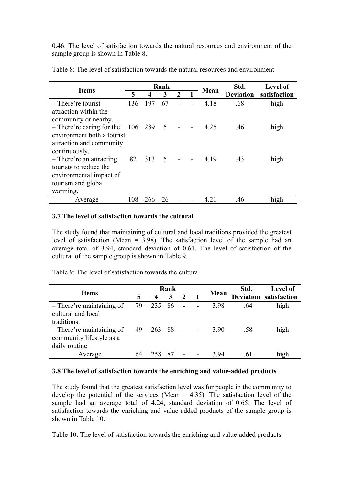0.46. The level of satisfaction towards the natural resources and environment of the sample group is shown in Table 8.

|                            |         |                  | Rank            |  |       | Std.             | <b>Level of</b> |
|----------------------------|---------|------------------|-----------------|--|-------|------------------|-----------------|
| <b>Items</b>               | 5       | $\boldsymbol{4}$ | 3               |  | Mean  | <b>Deviation</b> | satisfaction    |
| - There're tourist         | 136     | 197              | 67              |  | 4.18  | .68              | high            |
| attraction within the      |         |                  |                 |  |       |                  |                 |
| community or nearby.       |         |                  |                 |  |       |                  |                 |
| - There're caring for the  | 106 289 |                  | $5\overline{)}$ |  | 4.25  | .46              | high            |
| environment both a tourist |         |                  |                 |  |       |                  |                 |
| attraction and community   |         |                  |                 |  |       |                  |                 |
| continuously.              |         |                  |                 |  |       |                  |                 |
| - There're an attracting   | 82      | 313              | $\overline{5}$  |  | 4 19  | .43              | high            |
| tourists to reduce the     |         |                  |                 |  |       |                  |                 |
| environmental impact of    |         |                  |                 |  |       |                  |                 |
| tourism and global         |         |                  |                 |  |       |                  |                 |
| warming.                   |         |                  |                 |  |       |                  |                 |
| Average                    | 108     | 266              | 26              |  | 4 2 1 | .46              | high            |

Table 8: The level of satisfaction towards the natural resources and environment

#### **3.7 The level of satisfaction towards the cultural**

The study found that maintaining of cultural and local traditions provided the greatest level of satisfaction (Mean = 3.98). The satisfaction level of the sample had an average total of 3.94, standard deviation of 0.61. The level of satisfaction of the cultural of the sample group is shown in Table 9.

Table 9: The level of satisfaction towards the cultural

| <b>Items</b>                                                                                |          |                  | Rank |  | Mean        | Std.       | <b>Level of</b>               |
|---------------------------------------------------------------------------------------------|----------|------------------|------|--|-------------|------------|-------------------------------|
|                                                                                             | 5        | 4                | 3    |  |             |            | <b>Deviation satisfaction</b> |
| - There're maintaining of<br>cultural and local<br>traditions.<br>- There're maintaining of | 79<br>49 | 235 86<br>263 88 |      |  | 398<br>3.90 | .64<br>.58 | high<br>high                  |
| community lifestyle as a<br>daily routine.                                                  |          |                  |      |  |             |            |                               |
| Average                                                                                     | 64       |                  | 87   |  | 394         | 61         | high                          |

## **3.8 The level of satisfaction towards the enriching and value-added products**

The study found that the greatest satisfaction level was for people in the community to develop the potential of the services (Mean  $=$  4.35). The satisfaction level of the sample had an average total of 4.24, standard deviation of 0.65. The level of satisfaction towards the enriching and value-added products of the sample group is shown in Table 10.

Table 10: The level of satisfaction towards the enriching and value-added products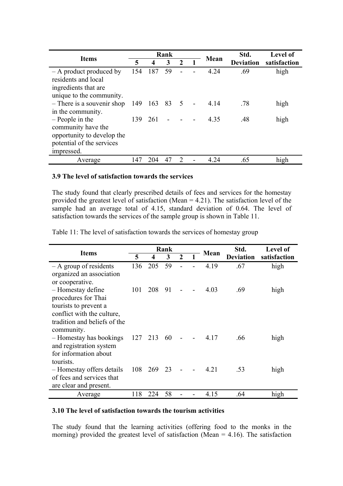| <b>Items</b>                                   |     |     | Rank |               |      | Std.             | <b>Level of</b> |
|------------------------------------------------|-----|-----|------|---------------|------|------------------|-----------------|
|                                                | 5   | 4   | 3    |               | Mean | <b>Deviation</b> | satisfaction    |
| - A product produced by<br>residents and local | 154 | 187 | 59   |               | 4.24 | .69              | high            |
| ingredients that are.                          |     |     |      |               |      |                  |                 |
| unique to the community.                       |     |     |      |               |      |                  |                 |
| - There is a souvenir shop                     | 149 | 163 | 83 5 |               | 4 14 | .78              | high            |
| in the community.                              |     |     |      |               |      |                  |                 |
| $-$ People in the                              | 139 | 261 |      |               | 4.35 | .48              | high            |
| community have the                             |     |     |      |               |      |                  |                 |
| opportunity to develop the                     |     |     |      |               |      |                  |                 |
| potential of the services                      |     |     |      |               |      |                  |                 |
| impressed.                                     |     |     |      |               |      |                  |                 |
| Average                                        | 147 | 204 | 47   | $\mathcal{D}$ | 4.24 | .65              | high            |

#### **3.9 The level of satisfaction towards the services**

The study found that clearly prescribed details of fees and services for the homestay provided the greatest level of satisfaction (Mean  $= 4.21$ ). The satisfaction level of the sample had an average total of 4.15, standard deviation of 0.64. The level of satisfaction towards the services of the sample group is shown in Table 11.

Table 11: The level of satisfaction towards the services of homestay group

|                              | Rank |     |    |                |       | Std.             | <b>Level of</b> |
|------------------------------|------|-----|----|----------------|-------|------------------|-----------------|
| <b>Items</b>                 | 5    | 4   | 3  | $\overline{2}$ | Mean  | <b>Deviation</b> | satisfaction    |
| $-$ A group of residents     | 136  | 205 | 59 |                | 4.19  | .67              | high            |
| organized an association     |      |     |    |                |       |                  |                 |
| or cooperative.              |      |     |    |                |       |                  |                 |
| - Homestay define            | 101  | 208 | 91 |                | 4.03  | .69              | high            |
| procedures for Thai          |      |     |    |                |       |                  |                 |
| tourists to prevent a        |      |     |    |                |       |                  |                 |
| conflict with the culture,   |      |     |    |                |       |                  |                 |
| tradition and beliefs of the |      |     |    |                |       |                  |                 |
| community.                   |      |     |    |                |       |                  |                 |
| - Homestay has bookings      | 127  | 213 | 60 |                | 4.17  | .66              | high            |
| and registration system      |      |     |    |                |       |                  |                 |
| for information about        |      |     |    |                |       |                  |                 |
| tourists.                    |      |     |    |                |       |                  |                 |
| - Homestay offers details    | 108  | 269 | 23 |                | 4 2 1 | .53              | high            |
| of fees and services that    |      |     |    |                |       |                  |                 |
| are clear and present.       |      |     |    |                |       |                  |                 |
| Average                      | 118  | 224 | 58 |                | 4.15  | .64              | high            |

#### **3.10 The level of satisfaction towards the tourism activities**

The study found that the learning activities (offering food to the monks in the morning) provided the greatest level of satisfaction (Mean =  $4.16$ ). The satisfaction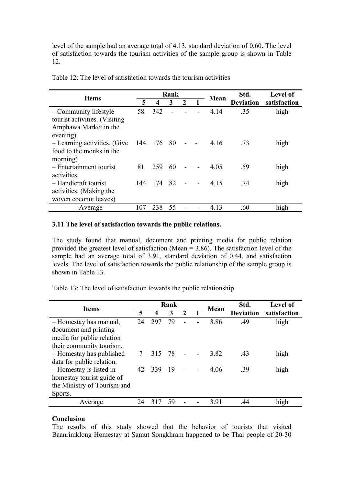level of the sample had an average total of 4.13, standard deviation of 0.60. The level of satisfaction towards the tourism activities of the sample group is shown in Table 12.

| <b>Items</b>                                                                                 |     |                  | Rank |              |  | Mean | Std.             | Level of     |
|----------------------------------------------------------------------------------------------|-----|------------------|------|--------------|--|------|------------------|--------------|
|                                                                                              | 5   | $\boldsymbol{4}$ | 3    | $\mathbf{2}$ |  |      | <b>Deviation</b> | satisfaction |
| - Community lifestyle<br>tourist activities. (Visiting<br>Amphawa Market in the<br>evening). | 58  | 342              |      |              |  | 4.14 | .35              | high         |
| - Learning activities. (Give<br>food to the monks in the<br>morning)                         | 144 | 176              | 80   |              |  | 4.16 | .73              | high         |
| - Entertainment tourist<br>activities.                                                       | 81  | 259              | 60   |              |  | 4.05 | .59              | high         |
| - Handicraft tourist<br>activities. (Making the<br>woven coconut leaves)                     | 144 | 174              | 82   |              |  | 4.15 | .74              | high         |
| Average                                                                                      | 107 | 238              | 55   |              |  | 4.13 | .60              | high         |

Table 12: The level of satisfaction towards the tourism activities

# **3.11 The level of satisfaction towards the public relations.**

The study found that manual, document and printing media for public relation provided the greatest level of satisfaction (Mean = 3.86). The satisfaction level of the sample had an average total of 3.91, standard deviation of 0.44, and satisfaction levels. The level of satisfaction towards the public relationship of the sample group is shown in Table 13.

Table 13: The level of satisfaction towards the public relationship

| <b>Items</b>                |        |     | Rank |               |  | Mean | Std.             | Level of     |
|-----------------------------|--------|-----|------|---------------|--|------|------------------|--------------|
|                             | 5      | 4   | 3    | $\mathcal{L}$ |  |      | <b>Deviation</b> | satisfaction |
| - Homestay has manual,      | 24     | 297 | 79   |               |  | 3.86 | .49              | high         |
| document and printing       |        |     |      |               |  |      |                  |              |
| media for public relation   |        |     |      |               |  |      |                  |              |
| their community tourism.    |        |     |      |               |  |      |                  |              |
| - Homestay has published    | $\tau$ | 315 | -78  |               |  | 3.82 | .43              | high         |
| data for public relation.   |        |     |      |               |  |      |                  |              |
| - Homestay is listed in     | 42     | 339 | -19  |               |  | 4.06 | .39              | high         |
| homestay tourist guide of   |        |     |      |               |  |      |                  |              |
| the Ministry of Tourism and |        |     |      |               |  |      |                  |              |
| Sports.                     |        |     |      |               |  |      |                  |              |
| Average                     | 24     |     | 59   |               |  | 3.91 | 44               | high         |

#### **Conclusion**

The results of this study showed that the behavior of tourists that visited Baanrimklong Homestay at Samut Songkhram happened to be Thai people of 20-30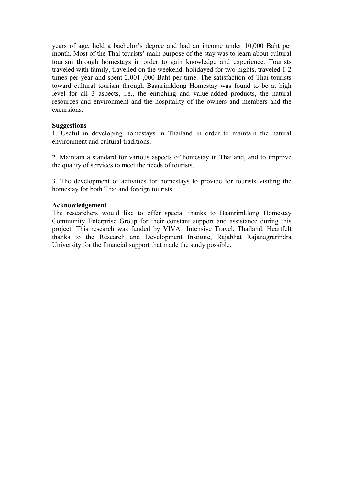years of age, held a bachelor's degree and had an income under 10,000 Baht per month. Most of the Thai tourists' main purpose of the stay was to learn about cultural tourism through homestays in order to gain knowledge and experience. Tourists traveled with family, travelled on the weekend, holidayed for two nights, traveled 1-2 times per year and spent 2,001-,000 Baht per time. The satisfaction of Thai tourists toward cultural tourism through Baanrimklong Homestay was found to be at high level for all 3 aspects, i.e., the enriching and value-added products, the natural resources and environment and the hospitality of the owners and members and the excursions.

#### **Suggestions**

1. Useful in developing homestays in Thailand in order to maintain the natural environment and cultural traditions.

2. Maintain a standard for various aspects of homestay in Thailand, and to improve the quality of services to meet the needs of tourists.

3. The development of activities for homestays to provide for tourists visiting the homestay for both Thai and foreign tourists.

#### **Acknowledgement**

The researchers would like to offer special thanks to Baanrimklong Homestay Community Enterprise Group for their constant support and assistance during this project. This research was funded by VIVA Intensive Travel, Thailand. Heartfelt thanks to the Research and Development Institute, Rajabhat Rajanagrarindra University for the financial support that made the study possible.